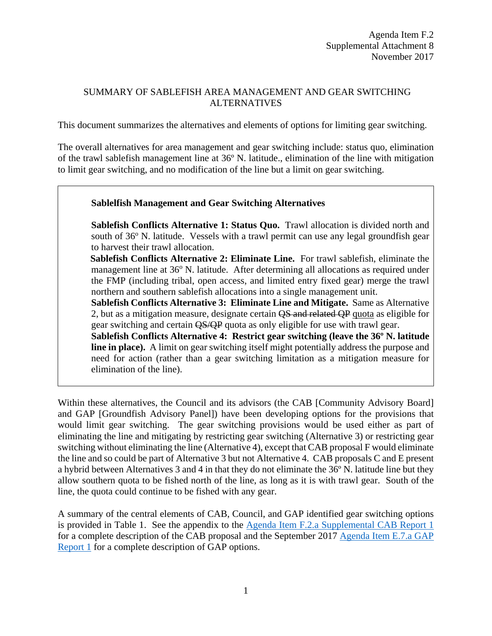#### SUMMARY OF SABLEFISH AREA MANAGEMENT AND GEAR SWITCHING ALTERNATIVES

This document summarizes the alternatives and elements of options for limiting gear switching.

The overall alternatives for area management and gear switching include: status quo, elimination of the trawl sablefish management line at 36º N. latitude., elimination of the line with mitigation to limit gear switching, and no modification of the line but a limit on gear switching.

#### **Sablelfish Management and Gear Switching Alternatives**

**Sablefish Conflicts Alternative 1: Status Quo.** Trawl allocation is divided north and south of  $36^{\circ}$  N. latitude. Vessels with a trawl permit can use any legal groundfish gear to harvest their trawl allocation.

**Sablefish Conflicts Alternative 2: Eliminate Line.** For trawl sablefish, eliminate the management line at 36° N. latitude. After determining all allocations as required under the FMP (including tribal, open access, and limited entry fixed gear) merge the trawl northern and southern sablefish allocations into a single management unit.

**Sablefish Conflicts Alternative 3: Eliminate Line and Mitigate.** Same as Alternative 2, but as a mitigation measure, designate certain  $\overline{OS}$  and related OP quota as eligible for gear switching and certain QS/QP quota as only eligible for use with trawl gear.

**Sablefish Conflicts Alternative 4: Restrict gear switching (leave the 36º N. latitude line in place).** A limit on gear switching itself might potentially address the purpose and need for action (rather than a gear switching limitation as a mitigation measure for elimination of the line).

Within these alternatives, the Council and its advisors (the CAB [Community Advisory Board] and GAP [Groundfish Advisory Panel]) have been developing options for the provisions that would limit gear switching. The gear switching provisions would be used either as part of eliminating the line and mitigating by restricting gear switching (Alternative 3) or restricting gear switching without eliminating the line (Alternative 4), except that CAB proposal F would eliminate the line and so could be part of Alternative 3 but not Alternative 4. CAB proposals C and E present a hybrid between Alternatives 3 and 4 in that they do not eliminate the 36º N. latitude line but they allow southern quota to be fished north of the line, as long as it is with trawl gear. South of the line, the quota could continue to be fished with any gear.

A summary of the central elements of CAB, Council, and GAP identified gear switching options is provided in [Table 1.](#page-1-0) See the appendix to the Agenda [Item F.2.a Supplemental CAB Report](https://www.pcouncil.org/wp-content/uploads/2017/11/F2a_Sup_CAB_Rpt1_NOV2017BB.pdf) 1 for a complete description of the CAB proposal and the September 2017 [Agenda Item E.7.a GAP](http://www.pcouncil.org/wp-content/uploads/2017/09/E7a_Sup_GAP_Rpt1_SEPT2017BB.pdf)  [Report](http://www.pcouncil.org/wp-content/uploads/2017/09/E7a_Sup_GAP_Rpt1_SEPT2017BB.pdf) 1 for a complete description of GAP options.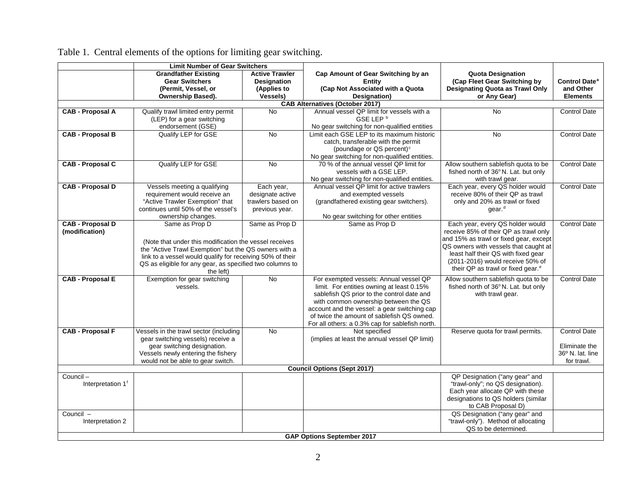<span id="page-1-0"></span>

|                                        | <b>Limit Number of Gear Switchers</b>                                  |                       |                                                                                         |                                                                             |                           |  |  |  |  |  |
|----------------------------------------|------------------------------------------------------------------------|-----------------------|-----------------------------------------------------------------------------------------|-----------------------------------------------------------------------------|---------------------------|--|--|--|--|--|
|                                        | <b>Grandfather Existing</b>                                            | <b>Active Trawler</b> | Cap Amount of Gear Switching by an                                                      | <b>Quota Designation</b>                                                    |                           |  |  |  |  |  |
|                                        | <b>Gear Switchers</b>                                                  | <b>Designation</b>    | <b>Entity</b>                                                                           | (Cap Fleet Gear Switching by                                                | Control Date <sup>a</sup> |  |  |  |  |  |
|                                        | (Permit, Vessel, or                                                    | (Applies to           | (Cap Not Associated with a Quota                                                        | Designating Quota as Trawl Only                                             | and Other                 |  |  |  |  |  |
|                                        | Ownership Based).                                                      | <b>Vessels)</b>       | Designation)                                                                            | or Any Gear)                                                                | <b>Elements</b>           |  |  |  |  |  |
| <b>CAB Alternatives (October 2017)</b> |                                                                        |                       |                                                                                         |                                                                             |                           |  |  |  |  |  |
| <b>CAB - Proposal A</b>                | Qualify trawl limited entry permit                                     | <b>No</b>             | Annual vessel QP limit for vessels with a                                               | <b>No</b>                                                                   | <b>Control Date</b>       |  |  |  |  |  |
|                                        | (LEP) for a gear switching                                             |                       | GSE LEP <sup>b</sup>                                                                    |                                                                             |                           |  |  |  |  |  |
|                                        | endorsement (GSE)                                                      |                       | No gear switching for non-qualified entities                                            |                                                                             |                           |  |  |  |  |  |
| <b>CAB - Proposal B</b>                | Qualify LEP for GSE                                                    | No                    | Limit each GSE LEP to its maximum historic                                              | No                                                                          | <b>Control Date</b>       |  |  |  |  |  |
|                                        |                                                                        |                       | catch, transferable with the permit                                                     |                                                                             |                           |  |  |  |  |  |
|                                        |                                                                        |                       | (poundage or QS percent) <sup>c</sup>                                                   |                                                                             |                           |  |  |  |  |  |
|                                        |                                                                        |                       | No gear switching for non-qualified entities.                                           |                                                                             |                           |  |  |  |  |  |
| <b>CAB - Proposal C</b>                | Qualify LEP for GSE                                                    | <b>No</b>             | 70 % of the annual vessel QP limit for                                                  | Allow southern sablefish quota to be                                        | <b>Control Date</b>       |  |  |  |  |  |
|                                        |                                                                        |                       | vessels with a GSE LEP.                                                                 | fished north of 36°N. Lat. but only                                         |                           |  |  |  |  |  |
|                                        |                                                                        |                       | No gear switching for non-qualified entities.                                           | with trawl gear.                                                            |                           |  |  |  |  |  |
| <b>CAB - Proposal D</b>                | Vessels meeting a qualifying                                           | Each year,            | Annual vessel QP limit for active trawlers                                              | Each year, every QS holder would                                            | <b>Control Date</b>       |  |  |  |  |  |
|                                        | requirement would receive an                                           | designate active      | and exempted vessels                                                                    | receive 80% of their QP as trawl                                            |                           |  |  |  |  |  |
|                                        | "Active Trawler Exemption" that<br>continues until 50% of the vessel's | trawlers based on     | (grandfathered existing gear switchers).                                                | only and 20% as trawl or fixed                                              |                           |  |  |  |  |  |
|                                        |                                                                        | previous year.        |                                                                                         | gear. <sup>d</sup>                                                          |                           |  |  |  |  |  |
| <b>CAB - Proposal D</b>                | ownership changes.<br>Same as Prop D                                   | Same as Prop D        | No gear switching for other entities<br>Same as Prop D                                  | Each year, every QS holder would                                            | <b>Control Date</b>       |  |  |  |  |  |
| (modification)                         |                                                                        |                       |                                                                                         | receive 85% of their QP as trawl only                                       |                           |  |  |  |  |  |
|                                        |                                                                        |                       |                                                                                         | and 15% as trawl or fixed gear, except                                      |                           |  |  |  |  |  |
|                                        | (Note that under this modification the vessel receives                 |                       |                                                                                         | QS owners with vessels that caught at                                       |                           |  |  |  |  |  |
|                                        | the "Active Trawl Exemption" but the QS owners with a                  |                       |                                                                                         | least half their QS with fixed gear                                         |                           |  |  |  |  |  |
|                                        | link to a vessel would qualify for receiving 50% of their              |                       |                                                                                         | (2011-2016) would receive 50% of                                            |                           |  |  |  |  |  |
|                                        | QS as eligible for any gear, as specified two columns to               |                       |                                                                                         | their QP as trawl or fixed gear. <sup>e</sup>                               |                           |  |  |  |  |  |
|                                        | the left)                                                              |                       |                                                                                         |                                                                             |                           |  |  |  |  |  |
| <b>CAB - Proposal E</b>                | Exemption for gear switching<br>vessels.                               | <b>No</b>             | For exempted vessels: Annual vessel QP                                                  | Allow southern sablefish quota to be<br>fished north of 36°N. Lat. but only | <b>Control Date</b>       |  |  |  |  |  |
|                                        |                                                                        |                       | limit. For entities owning at least 0.15%<br>sablefish QS prior to the control date and | with trawl gear.                                                            |                           |  |  |  |  |  |
|                                        |                                                                        |                       | with common ownership between the QS                                                    |                                                                             |                           |  |  |  |  |  |
|                                        |                                                                        |                       | account and the vessel: a gear switching cap                                            |                                                                             |                           |  |  |  |  |  |
|                                        |                                                                        |                       | of twice the amount of sablefish QS owned.                                              |                                                                             |                           |  |  |  |  |  |
|                                        |                                                                        |                       | For all others: a 0.3% cap for sablefish north.                                         |                                                                             |                           |  |  |  |  |  |
| <b>CAB - Proposal F</b>                | Vessels in the trawl sector (including                                 | <b>No</b>             | Not specified                                                                           | Reserve quota for trawl permits.                                            | <b>Control Date</b>       |  |  |  |  |  |
|                                        | gear switching vessels) receive a                                      |                       | (implies at least the annual vessel QP limit)                                           |                                                                             |                           |  |  |  |  |  |
|                                        | gear switching designation.                                            |                       |                                                                                         |                                                                             | Eliminate the             |  |  |  |  |  |
|                                        | Vessels newly entering the fishery                                     |                       |                                                                                         |                                                                             | 36º N. lat. line          |  |  |  |  |  |
|                                        | would not be able to gear switch.                                      |                       |                                                                                         |                                                                             | for trawl.                |  |  |  |  |  |
| <b>Council Options (Sept 2017)</b>     |                                                                        |                       |                                                                                         |                                                                             |                           |  |  |  |  |  |
| Council-                               |                                                                        |                       |                                                                                         | QP Designation ("any gear" and                                              |                           |  |  |  |  |  |
| Interpretation 1 <sup>f</sup>          |                                                                        |                       |                                                                                         | "trawl-only"; no QS designation).                                           |                           |  |  |  |  |  |
|                                        |                                                                        |                       |                                                                                         | Each year allocate QP with these                                            |                           |  |  |  |  |  |
|                                        |                                                                        |                       |                                                                                         | designations to QS holders (similar                                         |                           |  |  |  |  |  |
|                                        |                                                                        |                       |                                                                                         | to CAB Proposal D)                                                          |                           |  |  |  |  |  |
| Council -                              |                                                                        |                       |                                                                                         | QS Designation ("any gear" and                                              |                           |  |  |  |  |  |
| Interpretation 2                       |                                                                        |                       |                                                                                         | "trawl-only"). Method of allocating                                         |                           |  |  |  |  |  |
|                                        |                                                                        |                       |                                                                                         | QS to be determined.                                                        |                           |  |  |  |  |  |
|                                        | <b>GAP Options September 2017</b>                                      |                       |                                                                                         |                                                                             |                           |  |  |  |  |  |

Table 1. Central elements of the options for limiting gear switching.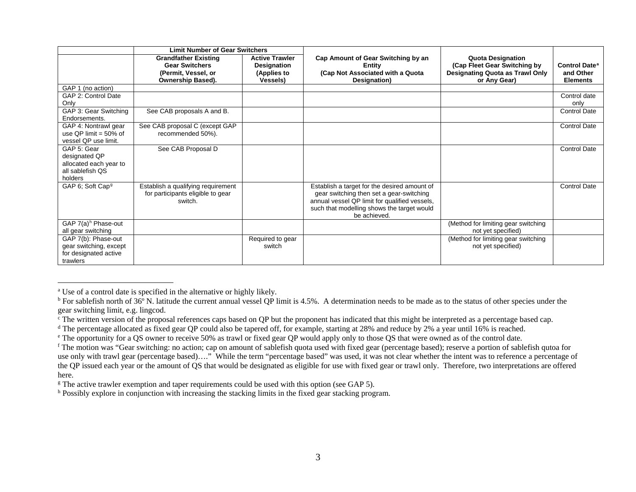|                                                                                       | <b>Limit Number of Gear Switchers</b>                                                            |                                                                        |                                                                                                                                                                                                         |                                                                                                                    |                                                                 |
|---------------------------------------------------------------------------------------|--------------------------------------------------------------------------------------------------|------------------------------------------------------------------------|---------------------------------------------------------------------------------------------------------------------------------------------------------------------------------------------------------|--------------------------------------------------------------------------------------------------------------------|-----------------------------------------------------------------|
|                                                                                       | <b>Grandfather Existing</b><br><b>Gear Switchers</b><br>(Permit, Vessel, or<br>Ownership Based). | <b>Active Trawler</b><br>Designation<br>(Applies to<br><b>Vessels)</b> | Cap Amount of Gear Switching by an<br>Entity<br>(Cap Not Associated with a Quota<br>Designation)                                                                                                        | <b>Quota Designation</b><br>(Cap Fleet Gear Switching by<br><b>Designating Quota as Trawl Only</b><br>or Any Gear) | <b>Control Date<sup>a</sup></b><br>and Other<br><b>Elements</b> |
| GAP 1 (no action)                                                                     |                                                                                                  |                                                                        |                                                                                                                                                                                                         |                                                                                                                    |                                                                 |
| GAP 2: Control Date<br>Only                                                           |                                                                                                  |                                                                        |                                                                                                                                                                                                         |                                                                                                                    | Control date<br>only                                            |
| GAP 3: Gear Switching<br>Endorsements.                                                | See CAB proposals A and B.                                                                       |                                                                        |                                                                                                                                                                                                         |                                                                                                                    | <b>Control Date</b>                                             |
| GAP 4: Nontrawl gear<br>use QP limit = $50\%$ of<br>vessel QP use limit.              | See CAB proposal C (except GAP<br>recommended 50%).                                              |                                                                        |                                                                                                                                                                                                         |                                                                                                                    | <b>Control Date</b>                                             |
| GAP 5: Gear<br>designated QP<br>allocated each year to<br>all sablefish QS<br>holders | See CAB Proposal D                                                                               |                                                                        |                                                                                                                                                                                                         |                                                                                                                    | <b>Control Date</b>                                             |
| GAP 6; Soft Cap <sup>9</sup>                                                          | Establish a qualifying requirement<br>for participants eligible to gear<br>switch.               |                                                                        | Establish a target for the desired amount of<br>gear switching then set a gear-switching<br>annual vessel QP limit for qualified vessels,<br>such that modelling shows the target would<br>be achieved. |                                                                                                                    | <b>Control Date</b>                                             |
| GAP 7(a) <sup>h</sup> Phase-out<br>all gear switching                                 |                                                                                                  |                                                                        |                                                                                                                                                                                                         | (Method for limiting gear switching<br>not yet specified)                                                          |                                                                 |
| GAP 7(b): Phase-out<br>gear switching, except<br>for designated active<br>trawlers    |                                                                                                  | Required to gear<br>switch                                             |                                                                                                                                                                                                         | (Method for limiting gear switching<br>not yet specified)                                                          |                                                                 |

<sup>a</sup> Use of a control date is specified in the alternative or highly likely.

 $\overline{a}$ 

<sup>&</sup>lt;sup>b</sup> For sablefish north of 36° N. latitude the current annual vessel QP limit is 4.5%. A determination needs to be made as to the status of other species under the gear switching limit, e.g. lingcod.

 $\epsilon$ . The written version of the proposal references caps based on QP but the proponent has indicated that this might be interpreted as a percentage based cap.

<sup>&</sup>lt;sup>d</sup> The percentage allocated as fixed gear QP could also be tapered off, for example, starting at 28% and reduce by 2% a year until 16% is reached.<br><sup>e</sup> The opportunity for a QS owner to receive 50% as trawl or fixed gear Q

<sup>&</sup>lt;sup>f</sup> The motion was "Gear switching: no action; cap on amount of sablefish quota used with fixed gear (percentage based); reserve a portion of sablefish qutoa for use only with trawl gear (percentage based)…." While the term "percentage based" was used, it was not clear whether the intent was to reference a percentage of the QP issued each year or the amount of QS that would be designated as eligible for use with fixed gear or trawl only. Therefore, two interpretations are offered here.

<sup>&</sup>lt;sup>g</sup> The active trawler exemption and taper requirements could be used with this option (see GAP 5).  $h$  Possibly explore in conjunction with increasing the stacking limits in the fixed gear stacking program.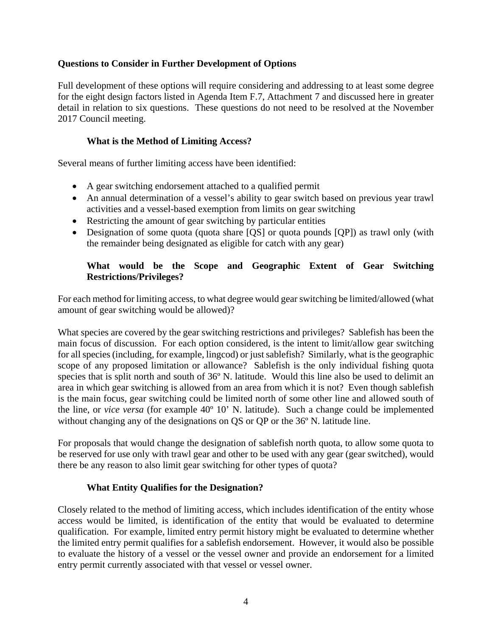# <span id="page-3-5"></span><span id="page-3-4"></span><span id="page-3-3"></span><span id="page-3-2"></span><span id="page-3-1"></span><span id="page-3-0"></span>**Questions to Consider in Further Development of Options**

Full development of these options will require considering and addressing to at least some degree for the eight design factors listed in Agenda Item F.7, Attachment 7 and discussed here in greater detail in relation to six questions. These questions do not need to be resolved at the November 2017 Council meeting.

#### **What is the Method of Limiting Access?**

Several means of further limiting access have been identified:

- A gear switching endorsement attached to a qualified permit
- An annual determination of a vessel's ability to gear switch based on previous year trawl activities and a vessel-based exemption from limits on gear switching
- Restricting the amount of gear switching by particular entities
- Designation of some quota (quota share [QS] or quota pounds [QP]) as trawl only (with the remainder being designated as eligible for catch with any gear)

## **What would be the Scope and Geographic Extent of Gear Switching Restrictions/Privileges?**

For each method for limiting access, to what degree would gear switching be limited/allowed (what amount of gear switching would be allowed)?

What species are covered by the gear switching restrictions and privileges? Sablefish has been the main focus of discussion. For each option considered, is the intent to limit/allow gear switching for all species (including, for example, lingcod) or just sablefish? Similarly, what is the geographic scope of any proposed limitation or allowance? Sablefish is the only individual fishing quota species that is split north and south of 36<sup>°</sup> N. latitude. Would this line also be used to delimit an area in which gear switching is allowed from an area from which it is not? Even though sablefish is the main focus, gear switching could be limited north of some other line and allowed south of the line, or *vice versa* (for example 40º 10' N. latitude). Such a change could be implemented without changing any of the designations on QS or QP or the 36º N. latitude line.

For proposals that would change the designation of sablefish north quota, to allow some quota to be reserved for use only with trawl gear and other to be used with any gear (gear switched), would there be any reason to also limit gear switching for other types of quota?

# **What Entity Qualifies for the Designation?**

Closely related to the method of limiting access, which includes identification of the entity whose access would be limited, is identification of the entity that would be evaluated to determine qualification. For example, limited entry permit history might be evaluated to determine whether the limited entry permit qualifies for a sablefish endorsement. However, it would also be possible to evaluate the history of a vessel or the vessel owner and provide an endorsement for a limited entry permit currently associated with that vessel or vessel owner.